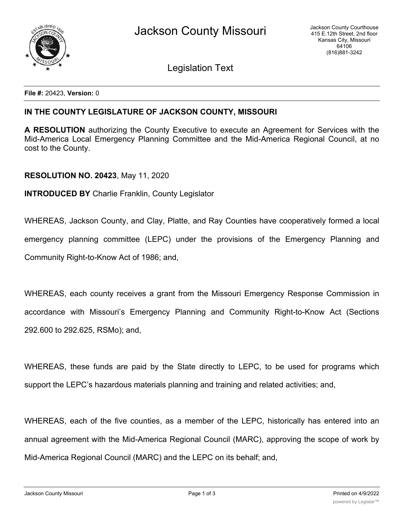

Legislation Text

**File #:** 20423, **Version:** 0

## **IN THE COUNTY LEGISLATURE OF JACKSON COUNTY, MISSOURI**

**A RESOLUTION** authorizing the County Executive to execute an Agreement for Services with the Mid-America Local Emergency Planning Committee and the Mid-America Regional Council, at no cost to the County.

## **RESOLUTION NO. 20423**, May 11, 2020

**INTRODUCED BY** Charlie Franklin, County Legislator

WHEREAS, Jackson County, and Clay, Platte, and Ray Counties have cooperatively formed a local emergency planning committee (LEPC) under the provisions of the Emergency Planning and Community Right-to-Know Act of 1986; and,

WHEREAS, each county receives a grant from the Missouri Emergency Response Commission in accordance with Missouri's Emergency Planning and Community Right-to-Know Act (Sections 292.600 to 292.625, RSMo); and,

WHEREAS, these funds are paid by the State directly to LEPC, to be used for programs which support the LEPC's hazardous materials planning and training and related activities; and,

WHEREAS, each of the five counties, as a member of the LEPC, historically has entered into an annual agreement with the Mid-America Regional Council (MARC), approving the scope of work by Mid-America Regional Council (MARC) and the LEPC on its behalf; and,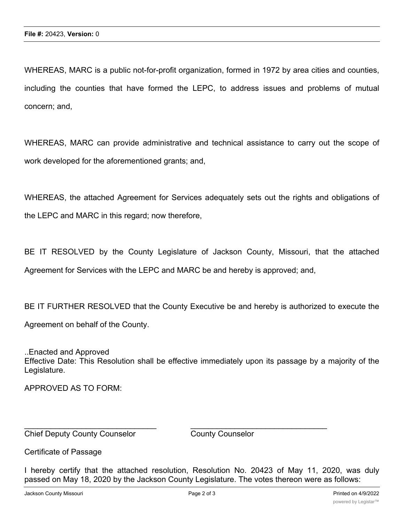WHEREAS, MARC is a public not-for-profit organization, formed in 1972 by area cities and counties, including the counties that have formed the LEPC, to address issues and problems of mutual concern; and,

WHEREAS, MARC can provide administrative and technical assistance to carry out the scope of work developed for the aforementioned grants; and,

WHEREAS, the attached Agreement for Services adequately sets out the rights and obligations of the LEPC and MARC in this regard; now therefore,

BE IT RESOLVED by the County Legislature of Jackson County, Missouri, that the attached Agreement for Services with the LEPC and MARC be and hereby is approved; and,

BE IT FURTHER RESOLVED that the County Executive be and hereby is authorized to execute the Agreement on behalf of the County.

..Enacted and Approved Effective Date: This Resolution shall be effective immediately upon its passage by a majority of the Legislature.

APPROVED AS TO FORM:

Chief Deputy County Counselor County Counselor

Certificate of Passage

I hereby certify that the attached resolution, Resolution No. 20423 of May 11, 2020, was duly passed on May 18, 2020 by the Jackson County Legislature. The votes thereon were as follows:

 $\_$  , and the contribution of the contribution of  $\overline{a}$  , and  $\overline{a}$  , and  $\overline{a}$  , and  $\overline{a}$  , and  $\overline{a}$